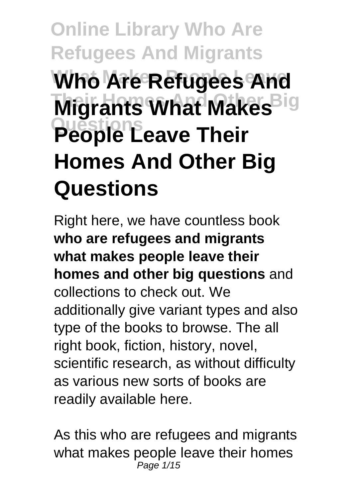# **Online Library Who Are Refugees And Migrants Who Are Refugees And Migrants What Makes**<sup>Big</sup> **Questions People Leave Their Homes And Other Big Questions**

Right here, we have countless book **who are refugees and migrants what makes people leave their homes and other big questions** and collections to check out. We additionally give variant types and also type of the books to browse. The all right book, fiction, history, novel, scientific research, as without difficulty as various new sorts of books are readily available here.

As this who are refugees and migrants what makes people leave their homes Page 1/15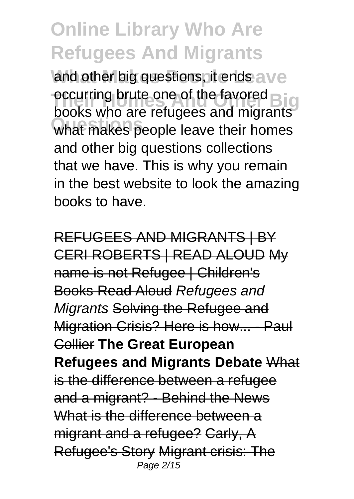and other big questions, it ends ave occurring prute one or the favored **Biggs**<br>books who are refugees and migrants **Questions** what makes people leave their homes occurring brute one of the favored and other big questions collections that we have. This is why you remain in the best website to look the amazing books to have.

REFUGEES AND MIGRANTS | BY CERI ROBERTS | READ ALOUD My name is not Refugee | Children's Books Read Aloud Refugees and Migrants Solving the Refugee and Migration Crisis? Here is how... - Paul Collier **The Great European Refugees and Migrants Debate** What is the difference between a refugee and a migrant? - Behind the News What is the difference between a migrant and a refugee? Carly, A Refugee's Story Migrant crisis: The Page 2/15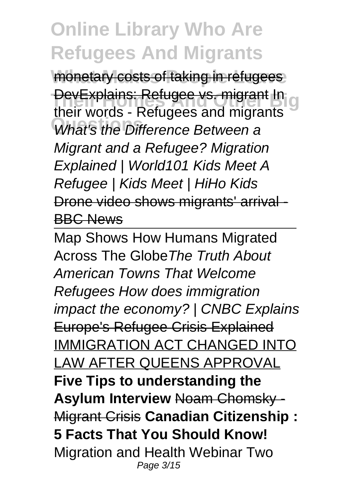monetary costs of taking in refugees **They Explains: Refugee vs. migrant In g What's the Difference Between a** their words - Refugees and migrants Migrant and a Refugee? Migration Explained | World101 Kids Meet A Refugee | Kids Meet | HiHo Kids Drone video shows migrants' arrival - BBC News

Map Shows How Humans Migrated Across The GlobeThe Truth About American Towns That Welcome Refugees How does immigration impact the economy? | CNBC Explains Europe's Refugee Crisis Explained IMMIGRATION ACT CHANGED INTO LAW AFTER QUEENS APPROVAL **Five Tips to understanding the Asylum Interview** Noam Chomsky - Migrant Crisis **Canadian Citizenship : 5 Facts That You Should Know!** Migration and Health Webinar Two Page 3/15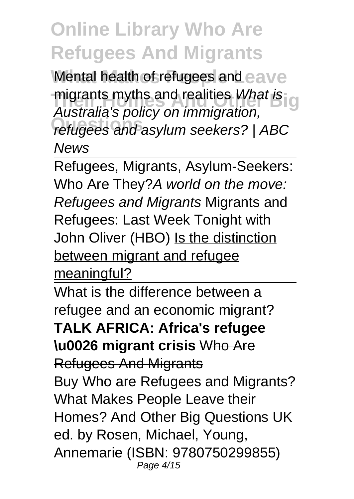**Mental health of refugees and eave** migrants myths and realities What is g **Questions** refugees and asylum seekers? | ABC Australia's policy on immigration, News

Refugees, Migrants, Asylum-Seekers: Who Are They? A world on the move: Refugees and Migrants Migrants and Refugees: Last Week Tonight with John Oliver (HBO) Is the distinction between migrant and refugee meaningful?

What is the difference between a refugee and an economic migrant? **TALK AFRICA: Africa's refugee \u0026 migrant crisis** Who Are Refugees And Migrants Buy Who are Refugees and Migrants? What Makes People Leave their Homes? And Other Big Questions UK ed. by Rosen, Michael, Young, Annemarie (ISBN: 9780750299855) Page 4/15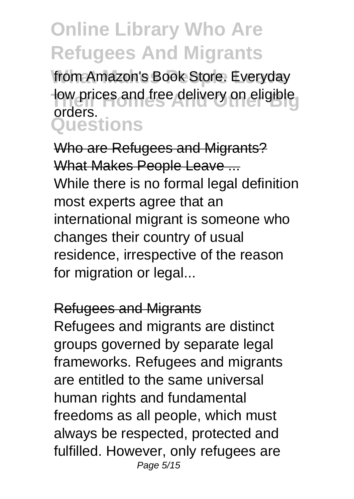from Amazon's Book Store. Everyday **Their prices and free delivery on eligible Questions** orders.

Who are Refugees and Migrants? What Makes People Leave ... While there is no formal legal definition most experts agree that an international migrant is someone who changes their country of usual residence, irrespective of the reason for migration or legal...

#### Refugees and Migrants

Refugees and migrants are distinct groups governed by separate legal frameworks. Refugees and migrants are entitled to the same universal human rights and fundamental freedoms as all people, which must always be respected, protected and fulfilled. However, only refugees are Page 5/15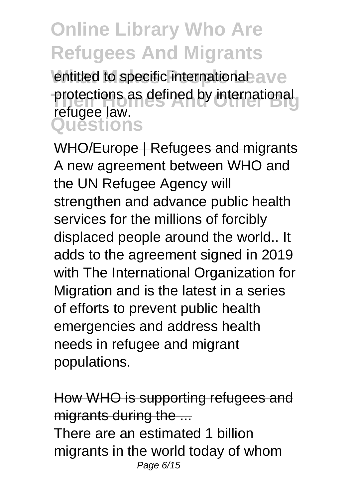entitled to specific international ave protections as defined by international<br>*Therman buy* **Questions** refugee law.

WHO/Europe | Refugees and migrants A new agreement between WHO and the UN Refugee Agency will strengthen and advance public health services for the millions of forcibly displaced people around the world.. It adds to the agreement signed in 2019 with The International Organization for Migration and is the latest in a series of efforts to prevent public health emergencies and address health needs in refugee and migrant populations.

How WHO is supporting refugees and migrants during the ... There are an estimated 1 billion migrants in the world today of whom Page 6/15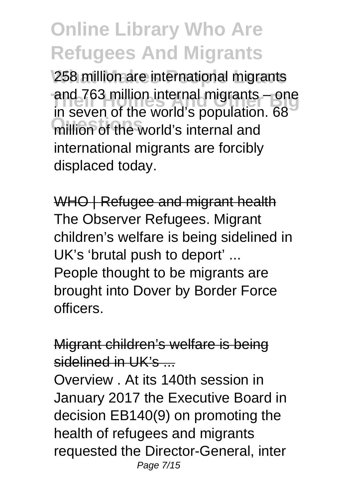258 million are international migrants and 763 million internal migrants – one million of the world's internal and in seven of the world's population. 68 international migrants are forcibly displaced today.

WHO | Refugee and migrant health The Observer Refugees. Migrant children's welfare is being sidelined in UK's 'brutal push to deport' ... People thought to be migrants are brought into Dover by Border Force officers.

Migrant children's welfare is being  $s$ idelined in  $UK's$ 

Overview . At its 140th session in January 2017 the Executive Board in decision EB140(9) on promoting the health of refugees and migrants requested the Director-General, inter Page 7/15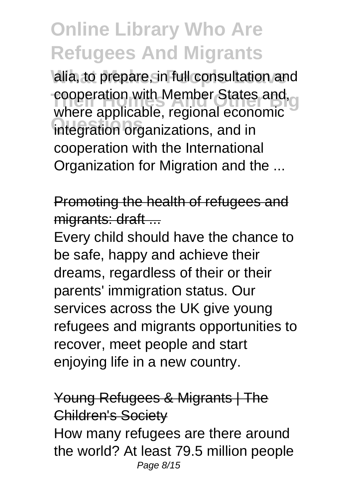alia, to prepare, in full consultation and **Their Formula** Cooperation with Member States and, **Questions** integration organizations, and in where applicable, regional economic cooperation with the International Organization for Migration and the ...

Promoting the health of refugees and migrants: draft ...

Every child should have the chance to be safe, happy and achieve their dreams, regardless of their or their parents' immigration status. Our services across the UK give young refugees and migrants opportunities to recover, meet people and start enjoying life in a new country.

#### Young Refugees & Migrants | The Children's Society

How many refugees are there around the world? At least 79.5 million people Page 8/15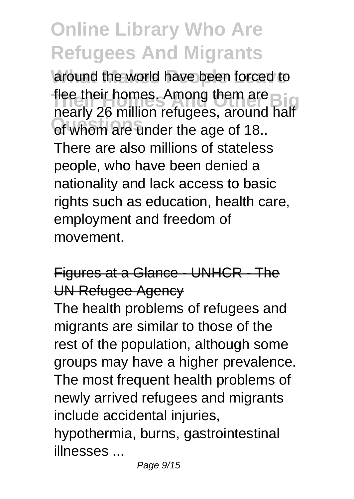around the world have been forced to **The their homes. Among them are Bigged Biggs and Details Questions** of whom are under the age of 18.. nearly 26 million refugees, around half There are also millions of stateless people, who have been denied a nationality and lack access to basic rights such as education, health care, employment and freedom of movement.

#### Figures at a Glance - UNHCR - The UN Refugee Agency

The health problems of refugees and migrants are similar to those of the rest of the population, although some groups may have a higher prevalence. The most frequent health problems of newly arrived refugees and migrants include accidental injuries,

hypothermia, burns, gastrointestinal illnesses ...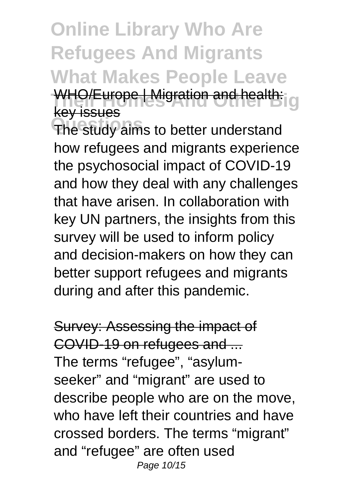### **Online Library Who Are Refugees And Migrants What Makes People Leave** WHO/Europe | Migration and health: g key issues

**Questions** The study aims to better understand how refugees and migrants experience the psychosocial impact of COVID-19 and how they deal with any challenges that have arisen. In collaboration with key UN partners, the insights from this survey will be used to inform policy and decision-makers on how they can better support refugees and migrants during and after this pandemic.

Survey: Assessing the impact of COVID-19 on refugees and ... The terms "refugee", "asylumseeker" and "migrant" are used to describe people who are on the move, who have left their countries and have crossed borders. The terms "migrant" and "refugee" are often used Page 10/15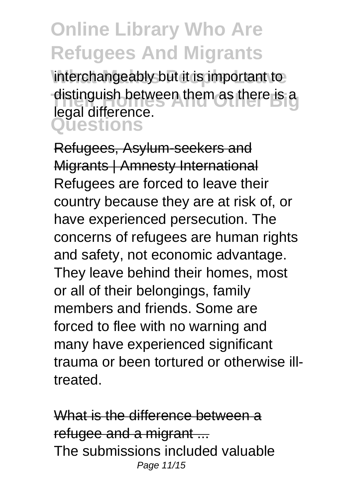interchangeably but it is important to distinguish between them as there is a **Questions** legal difference.

Refugees, Asylum-seekers and Migrants | Amnesty International Refugees are forced to leave their country because they are at risk of, or have experienced persecution. The concerns of refugees are human rights and safety, not economic advantage. They leave behind their homes, most or all of their belongings, family members and friends. Some are forced to flee with no warning and many have experienced significant trauma or been tortured or otherwise illtreated.

What is the difference between a refugee and a migrant ... The submissions included valuable Page 11/15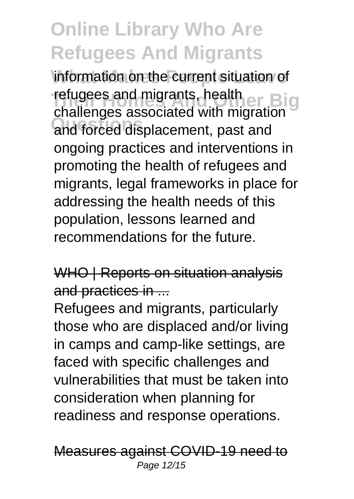information on the current situation of **The Indian Biggs And Migrants, health art Biggs And The Indian Property And Andrew Biggs And Anders Biggs Questions** and forced displacement, past and challenges associated with migration ongoing practices and interventions in promoting the health of refugees and migrants, legal frameworks in place for addressing the health needs of this population, lessons learned and recommendations for the future.

WHO | Reports on situation analysis and practices in ...

Refugees and migrants, particularly those who are displaced and/or living in camps and camp-like settings, are faced with specific challenges and vulnerabilities that must be taken into consideration when planning for readiness and response operations.

Measures against COVID-19 need to Page 12/15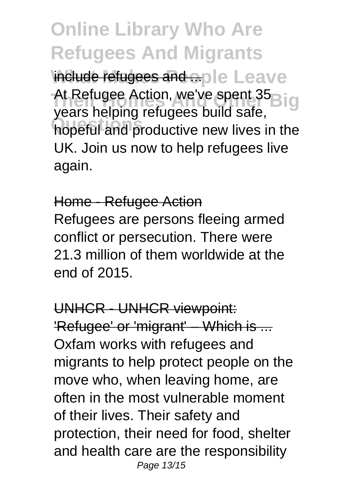**Online Library Who Are Refugees And Migrants** include refugees and ople Leave At Refugee Action, we've spent 35<sub>Big</sub> **Questions** hopeful and productive new lives in the years helping refugees build safe, UK. Join us now to help refugees live again.

#### Home - Refugee Action

Refugees are persons fleeing armed conflict or persecution. There were 21.3 million of them worldwide at the end of 2015.

UNHCR - UNHCR viewpoint: 'Refugee' or 'migrant' – Which is ... Oxfam works with refugees and migrants to help protect people on the move who, when leaving home, are often in the most vulnerable moment of their lives. Their safety and protection, their need for food, shelter and health care are the responsibility Page 13/15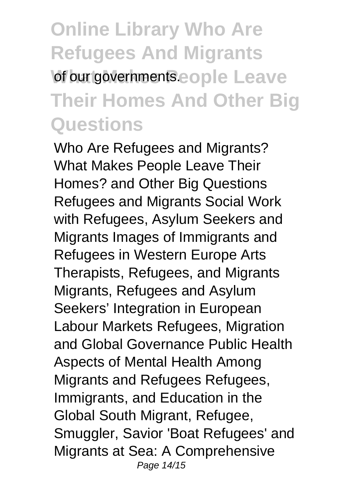### **Online Library Who Are Refugees And Migrants** of our governments.eople Leave **Their Homes And Other Big Questions**

Who Are Refugees and Migrants? What Makes People Leave Their Homes? and Other Big Questions Refugees and Migrants Social Work with Refugees, Asylum Seekers and Migrants Images of Immigrants and Refugees in Western Europe Arts Therapists, Refugees, and Migrants Migrants, Refugees and Asylum Seekers' Integration in European Labour Markets Refugees, Migration and Global Governance Public Health Aspects of Mental Health Among Migrants and Refugees Refugees, Immigrants, and Education in the Global South Migrant, Refugee, Smuggler, Savior 'Boat Refugees' and Migrants at Sea: A Comprehensive Page 14/15